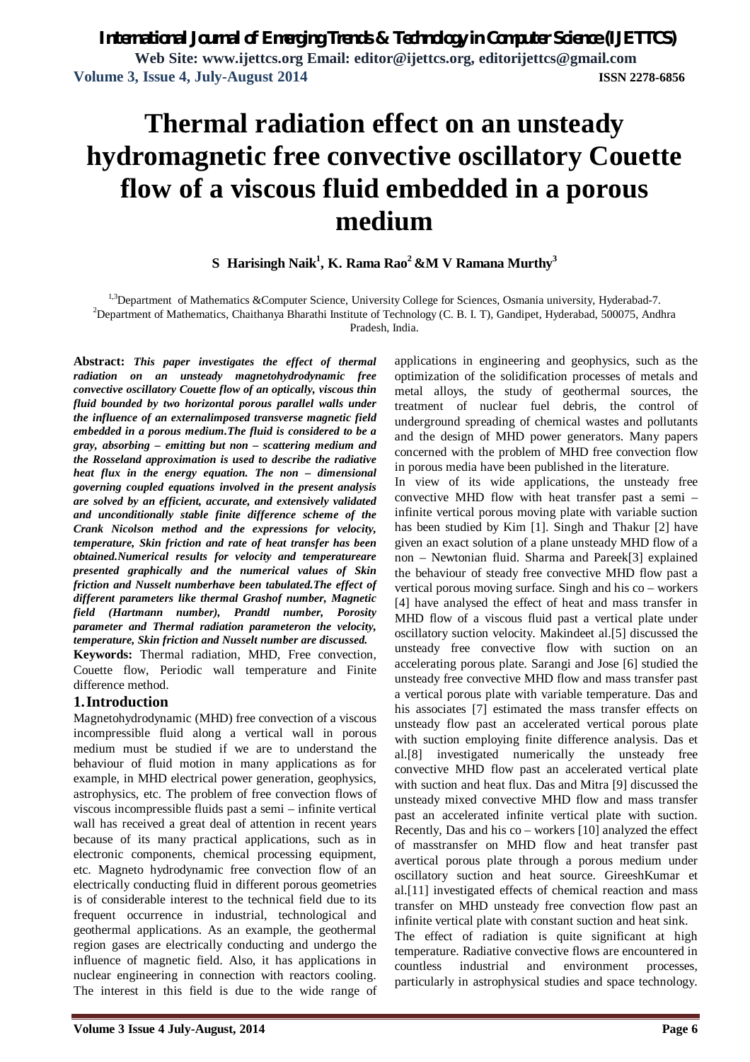# **Thermal radiation effect on an unsteady hydromagnetic free convective oscillatory Couette flow of a viscous fluid embedded in a porous medium**

**S Harisingh Naik<sup>1</sup> , K. Rama Rao<sup>2</sup> &M V Ramana Murthy<sup>3</sup>**

<sup>1,3</sup>Department of Mathematics &Computer Science, University College for Sciences, Osmania university, Hyderabad-7.

<sup>2</sup>Department of Mathematics, Chaithanya Bharathi Institute of Technology (C. B. I. T), Gandipet, Hyderabad, 500075, Andhra Pradesh, India.

**Abstract:** *This paper investigates the effect of thermal radiation on an unsteady magnetohydrodynamic free convective oscillatory Couette flow of an optically, viscous thin fluid bounded by two horizontal porous parallel walls under the influence of an externalimposed transverse magnetic field embedded in a porous medium.The fluid is considered to be a gray, absorbing – emitting but non – scattering medium and the Rosseland approximation is used to describe the radiative heat flux in the energy equation. The non – dimensional governing coupled equations involved in the present analysis are solved by an efficient, accurate, and extensively validated and unconditionally stable finite difference scheme of the Crank Nicolson method and the expressions for velocity, temperature, Skin friction and rate of heat transfer has been obtained.Numerical results for velocity and temperatureare presented graphically and the numerical values of Skin friction and Nusselt numberhave been tabulated.The effect of different parameters like thermal Grashof number, Magnetic field (Hartmann number), Prandtl number, Porosity parameter and Thermal radiation parameteron the velocity, temperature, Skin friction and Nusselt number are discussed.*

**Keywords:** Thermal radiation, MHD, Free convection, Couette flow, Periodic wall temperature and Finite difference method.

## **1.Introduction**

Magnetohydrodynamic (MHD) free convection of a viscous incompressible fluid along a vertical wall in porous medium must be studied if we are to understand the behaviour of fluid motion in many applications as for example, in MHD electrical power generation, geophysics, astrophysics, etc. The problem of free convection flows of viscous incompressible fluids past a semi – infinite vertical wall has received a great deal of attention in recent years because of its many practical applications, such as in electronic components, chemical processing equipment, etc. Magneto hydrodynamic free convection flow of an electrically conducting fluid in different porous geometries is of considerable interest to the technical field due to its frequent occurrence in industrial, technological and geothermal applications. As an example, the geothermal region gases are electrically conducting and undergo the influence of magnetic field. Also, it has applications in nuclear engineering in connection with reactors cooling. The interest in this field is due to the wide range of

applications in engineering and geophysics, such as the optimization of the solidification processes of metals and metal alloys, the study of geothermal sources, the treatment of nuclear fuel debris, the control of underground spreading of chemical wastes and pollutants and the design of MHD power generators. Many papers concerned with the problem of MHD free convection flow in porous media have been published in the literature.

In view of its wide applications, the unsteady free convective MHD flow with heat transfer past a semi – infinite vertical porous moving plate with variable suction has been studied by Kim [1]. Singh and Thakur [2] have given an exact solution of a plane unsteady MHD flow of a non – Newtonian fluid. Sharma and Pareek[3] explained the behaviour of steady free convective MHD flow past a vertical porous moving surface. Singh and his co – workers [4] have analysed the effect of heat and mass transfer in MHD flow of a viscous fluid past a vertical plate under oscillatory suction velocity. Makindeet al.[5] discussed the unsteady free convective flow with suction on an accelerating porous plate. Sarangi and Jose [6] studied the unsteady free convective MHD flow and mass transfer past a vertical porous plate with variable temperature. Das and his associates [7] estimated the mass transfer effects on unsteady flow past an accelerated vertical porous plate with suction employing finite difference analysis. Das et al.[8] investigated numerically the unsteady free convective MHD flow past an accelerated vertical plate with suction and heat flux. Das and Mitra [9] discussed the unsteady mixed convective MHD flow and mass transfer past an accelerated infinite vertical plate with suction. Recently, Das and his co – workers [10] analyzed the effect of masstransfer on MHD flow and heat transfer past avertical porous plate through a porous medium under oscillatory suction and heat source. GireeshKumar et al.[11] investigated effects of chemical reaction and mass transfer on MHD unsteady free convection flow past an infinite vertical plate with constant suction and heat sink. The effect of radiation is quite significant at high temperature. Radiative convective flows are encountered in

countless industrial and environment processes, particularly in astrophysical studies and space technology.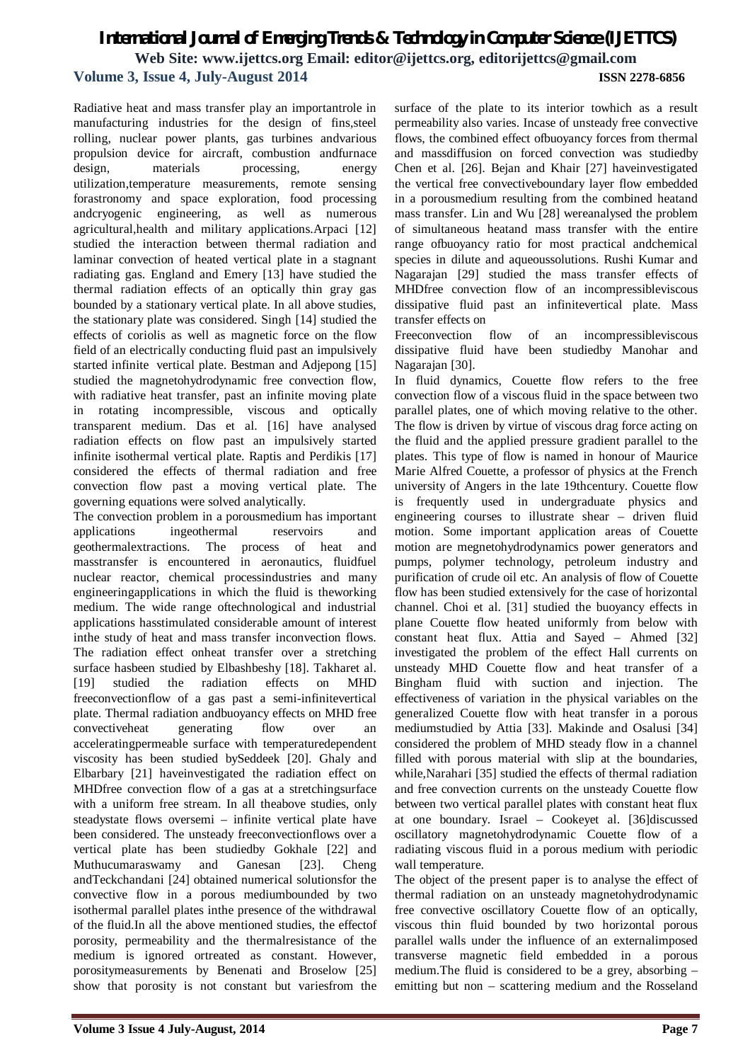Radiative heat and mass transfer play an importantrole in manufacturing industries for the design of fins,steel rolling, nuclear power plants, gas turbines andvarious propulsion device for aircraft, combustion andfurnace design, materials processing, energy utilization,temperature measurements, remote sensing forastronomy and space exploration, food processing andcryogenic engineering, as well as numerous agricultural,health and military applications.Arpaci [12] studied the interaction between thermal radiation and laminar convection of heated vertical plate in a stagnant radiating gas. England and Emery [13] have studied the thermal radiation effects of an optically thin gray gas bounded by a stationary vertical plate. In all above studies, the stationary plate was considered. Singh [14] studied the effects of coriolis as well as magnetic force on the flow field of an electrically conducting fluid past an impulsively started infinite vertical plate. Bestman and Adjepong [15] studied the magnetohydrodynamic free convection flow, with radiative heat transfer, past an infinite moving plate in rotating incompressible, viscous and optically transparent medium. Das et al. [16] have analysed radiation effects on flow past an impulsively started infinite isothermal vertical plate. Raptis and Perdikis [17] considered the effects of thermal radiation and free convection flow past a moving vertical plate. The governing equations were solved analytically.

The convection problem in a porousmedium has important applications ingeothermal reservoirs and geothermalextractions. The process of heat and masstransfer is encountered in aeronautics, fluidfuel nuclear reactor, chemical processindustries and many engineeringapplications in which the fluid is theworking medium. The wide range oftechnological and industrial applications hasstimulated considerable amount of interest inthe study of heat and mass transfer inconvection flows. The radiation effect onheat transfer over a stretching surface hasbeen studied by Elbashbeshy [18]. Takharet al. [19] studied the radiation effects on MHD freeconvectionflow of a gas past a semi-infinitevertical plate. Thermal radiation andbuoyancy effects on MHD free convectiveheat generating flow over an acceleratingpermeable surface with temperaturedependent viscosity has been studied bySeddeek [20]. Ghaly and Elbarbary [21] haveinvestigated the radiation effect on MHDfree convection flow of a gas at a stretchingsurface with a uniform free stream. In all theabove studies, only steadystate flows oversemi – infinite vertical plate have been considered. The unsteady freeconvectionflows over a vertical plate has been studiedby Gokhale [22] and Muthucumaraswamy and Ganesan [23]. Cheng andTeckchandani [24] obtained numerical solutionsfor the convective flow in a porous mediumbounded by two isothermal parallel plates inthe presence of the withdrawal of the fluid.In all the above mentioned studies, the effectof porosity, permeability and the thermalresistance of the medium is ignored ortreated as constant. However, porositymeasurements by Benenati and Broselow [25] show that porosity is not constant but variesfrom the

surface of the plate to its interior towhich as a result permeability also varies. Incase of unsteady free convective flows, the combined effect ofbuoyancy forces from thermal and massdiffusion on forced convection was studiedby Chen et al. [26]. Bejan and Khair [27] haveinvestigated the vertical free convectiveboundary layer flow embedded in a porousmedium resulting from the combined heatand mass transfer. Lin and Wu [28] wereanalysed the problem of simultaneous heatand mass transfer with the entire range ofbuoyancy ratio for most practical andchemical species in dilute and aqueoussolutions. Rushi Kumar and Nagarajan [29] studied the mass transfer effects of MHDfree convection flow of an incompressibleviscous dissipative fluid past an infinitevertical plate. Mass transfer effects on

Freeconvection flow of an incompressibleviscous dissipative fluid have been studiedby Manohar and Nagarajan [30].

In fluid dynamics, Couette flow refers to the free convection flow of a viscous fluid in the space between two parallel plates, one of which moving relative to the other. The flow is driven by virtue of viscous drag force acting on the fluid and the applied pressure gradient parallel to the plates. This type of flow is named in honour of Maurice Marie Alfred Couette, a professor of physics at the French university of Angers in the late 19thcentury. Couette flow is frequently used in undergraduate physics and engineering courses to illustrate shear – driven fluid motion. Some important application areas of Couette motion are megnetohydrodynamics power generators and pumps, polymer technology, petroleum industry and purification of crude oil etc. An analysis of flow of Couette flow has been studied extensively for the case of horizontal channel. Choi et al. [31] studied the buoyancy effects in plane Couette flow heated uniformly from below with constant heat flux. Attia and Sayed – Ahmed [32] investigated the problem of the effect Hall currents on unsteady MHD Couette flow and heat transfer of a Bingham fluid with suction and injection. The effectiveness of variation in the physical variables on the generalized Couette flow with heat transfer in a porous mediumstudied by Attia [33]. Makinde and Osalusi [34] considered the problem of MHD steady flow in a channel filled with porous material with slip at the boundaries, while,Narahari [35] studied the effects of thermal radiation and free convection currents on the unsteady Couette flow between two vertical parallel plates with constant heat flux at one boundary. Israel – Cookeyet al. [36]discussed oscillatory magnetohydrodynamic Couette flow of a radiating viscous fluid in a porous medium with periodic wall temperature.

The object of the present paper is to analyse the effect of thermal radiation on an unsteady magnetohydrodynamic free convective oscillatory Couette flow of an optically, viscous thin fluid bounded by two horizontal porous parallel walls under the influence of an externalimposed transverse magnetic field embedded in a porous medium.The fluid is considered to be a grey, absorbing – emitting but non – scattering medium and the Rosseland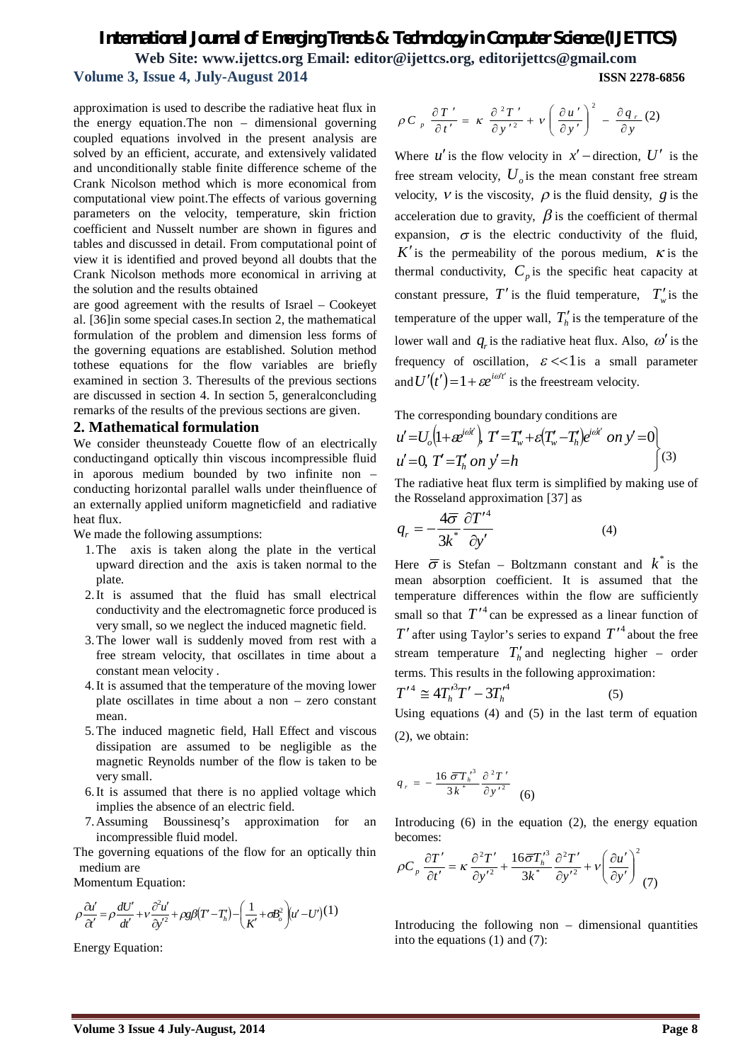approximation is used to describe the radiative heat flux in the energy equation.The non – dimensional governing coupled equations involved in the present analysis are solved by an efficient, accurate, and extensively validated and unconditionally stable finite difference scheme of the Crank Nicolson method which is more economical from computational view point.The effects of various governing parameters on the velocity, temperature, skin friction coefficient and Nusselt number are shown in figures and tables and discussed in detail. From computational point of view it is identified and proved beyond all doubts that the Crank Nicolson methods more economical in arriving at the solution and the results obtained

are good agreement with the results of Israel – Cookeyet al. [36]in some special cases.In section 2, the mathematical formulation of the problem and dimension less forms of the governing equations are established. Solution method tothese equations for the flow variables are briefly examined in section 3. Theresults of the previous sections are discussed in section 4. In section 5, generalconcluding remarks of the results of the previous sections are given.

#### **2. Mathematical formulation**

We consider theunsteady Couette flow of an electrically conductingand optically thin viscous incompressible fluid in aporous medium bounded by two infinite non – conducting horizontal parallel walls under theinfluence of an externally applied uniform magneticfield and radiative heat flux.

We made the following assumptions:

- 1.The axis is taken along the plate in the vertical upward direction and the axis is taken normal to the plate.
- 2.It is assumed that the fluid has small electrical conductivity and the electromagnetic force produced is very small, so we neglect the induced magnetic field.
- 3.The lower wall is suddenly moved from rest with a free stream velocity, that oscillates in time about a constant mean velocity .
- 4.It is assumed that the temperature of the moving lower plate oscillates in time about a non – zero constant mean.
- 5.The induced magnetic field, Hall Effect and viscous dissipation are assumed to be negligible as the magnetic Reynolds number of the flow is taken to be very small.
- 6.It is assumed that there is no applied voltage which implies the absence of an electric field.
- 7.Assuming Boussinesq's approximation for an incompressible fluid model.

The governing equations of the flow for an optically thin medium are

Momentum Equation:

$$
\rho \frac{\partial u'}{\partial t'} = \rho \frac{dU'}{dt'} + v \frac{\partial^2 u'}{\partial y'^2} + \rho g \beta (T' - T'_h) - \left(\frac{1}{K'} + \sigma B_o^2\right) (u' - U')^{(1)}
$$

Energy Equation:

$$
\rho C_p \frac{\partial T'}{\partial t'} = \kappa \frac{\partial^2 T'}{\partial y'^2} + \nu \left( \frac{\partial u'}{\partial y'} \right)^2 - \frac{\partial q_r}{\partial y} (2)
$$

Where  $u'$  is the flow velocity in  $x'$  – direction,  $U'$  is the free stream velocity,  $U_o$  is the mean constant free stream velocity,  $V$  is the viscosity,  $\rho$  is the fluid density,  $g$  is the acceleration due to gravity.  $\beta$  is the coefficient of thermal expansion,  $\sigma$  is the electric conductivity of the fluid,  $K'$  is the permeability of the porous medium,  $K$  is the thermal conductivity,  $C_p$  is the specific heat capacity at constant pressure, T' is the fluid temperature,  $T_w$  is the temperature of the upper wall,  $T'_{h}$  is the temperature of the lower wall and  $q_r$  is the radiative heat flux. Also,  $\omega'$  is the frequency of oscillation,  $\varepsilon \ll 1$  is a small parameter and  $U'(t') = 1 + \varepsilon e^{i\omega' t'}$  is the freestream velocity.

The corresponding boundary conditions are  
\n
$$
u' = U_o(1 + \varepsilon^{i\omega t}), \quad T' = T_w' + \varepsilon(T_w' - T_h')e^{i\omega t'} \quad on \quad y' = 0
$$
  
\n $u' = 0, \quad T' = T_h' \quad on \quad y' = h$  (3)

The radiative heat flux term is simplified by making use of the Rosseland approximation [37] as

$$
q_r = -\frac{4\overline{\sigma}}{3k^*} \frac{\partial T'^4}{\partial y'}
$$
 (4)

Here  $\bar{\sigma}$  is Stefan – Boltzmann constant and  $k^*$  is the mean absorption coefficient. It is assumed that the temperature differences within the flow are sufficiently small so that  $T'^4$  can be expressed as a linear function of  $T'$  after using Taylor's series to expand  $T'$  about the free stream temperature  $T'_{h}$  and neglecting higher – order terms. This results in the following approximation:

$$
T'^4 \cong 4T_h'^3 T' - 3T_h'^4 \tag{5}
$$

Using equations (4) and (5) in the last term of equation (2), we obtain:

$$
q_{r} = -\frac{16 \overline{\sigma} T_{h}^{\prime 3}}{3 k^{*}} \frac{\partial^{2} T^{\prime}}{\partial y^{\prime 2}} \quad (6)
$$

Introducing (6) in the equation (2), the energy equation becomes:

$$
\rho C_p \frac{\partial T'}{\partial t'} = \kappa \frac{\partial^2 T'}{\partial y'^2} + \frac{16 \overline{\sigma} T_h'^3}{3k^*} \frac{\partial^2 T'}{\partial y'^2} + v \left(\frac{\partial u'}{\partial y'}\right)^2
$$
(7)

Introducing the following non – dimensional quantities into the equations (1) and (7):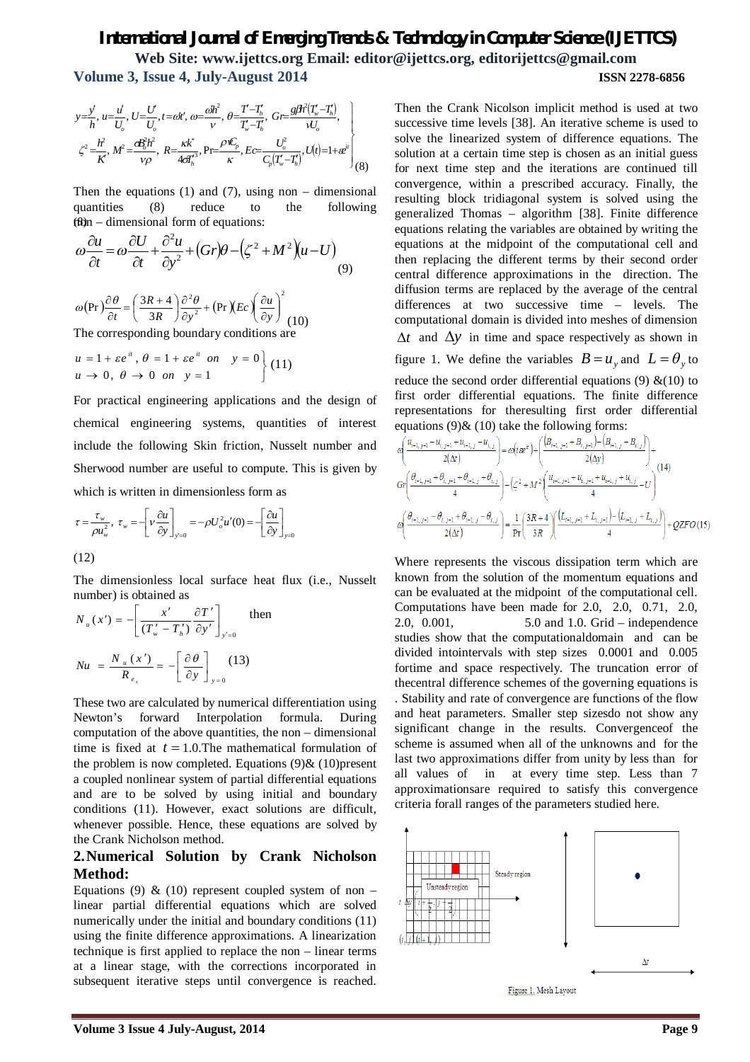$$
y=\frac{y'}{h}, u=\frac{u'}{U_o}, U=\frac{U}{U_o}, t=\omega' \text{, } \omega=\frac{\omega h^2}{v}, \theta=\frac{T-T_h}{T_w-T_h}, \text{ } G =\frac{g\theta^2(T_w-T_h)}{V_v},
$$
  

$$
\zeta^2=\frac{h^2}{K}, M^2=\frac{\omega_0^2 h^2}{v\rho}, R=\frac{\kappa k^*}{4\sigma T_h^3}, \text{ } Pr=\frac{\rho V_c}{\kappa}, E =\frac{U_c^2}{C_p(T_w-T_h)}, U(t)=1+\omega''\Bigg|_{(8)}
$$

 $f(x)$ n – dimensional form of equations: Then the equations (1) and (7), using non – dimensional quantities (8) reduce to the following

$$
\omega \frac{\partial u}{\partial t} = \omega \frac{\partial U}{\partial t} + \frac{\partial^2 u}{\partial y^2} + (Gr)\theta - (\zeta^2 + M^2)(u - U) \tag{9}
$$

$$
\omega(\Pr)\frac{\partial \theta}{\partial t} = \left(\frac{3R+4}{3R}\right)\frac{\partial^2 \theta}{\partial y^2} + (\Pr)(Ec)\left(\frac{\partial u}{\partial y}\right)^2
$$
\nThe corresponding boundary conditions are

$$
u = 1 + \varepsilon e^{u}, \quad \theta = 1 + \varepsilon e^{u} \quad on \quad y = 0
$$
  

$$
u \to 0, \quad \theta \to 0 \quad on \quad y = 1
$$
 (11)

For practical engineering applications and the design of chemical engineering systems, quantities of interest include the following Skin friction, Nusselt number and Sherwood number are useful to compute. This is given by which is written in dimensionless form as

$$
\tau = \frac{\tau_w}{\rho u_w^2}, \ \tau_w = -\left[v\frac{\partial u}{\partial y}\right]_{y=0} = -\rho U_o^2 u'(0) = -\left[\frac{\partial u}{\partial y}\right]_{y=0}
$$

(12)

The dimensionless local surface heat flux (i.e., Nusselt number) is obtained as

$$
N_{u}(x') = -\left[ \frac{x'}{(T'_{w} - T'_{h})} \frac{\partial T'}{\partial y'} \right]_{y'=0}
$$
 then  

$$
Nu = \frac{N_{u}(x')}{R_{e_{x}}} = -\left[ \frac{\partial \theta}{\partial y} \right]_{y=0}
$$
(13)

These two are calculated by numerical differentiation using Newton's forward Interpolation formula. During computation of the above quantities, the non – dimensional time is fixed at  $t = 1.0$ . The mathematical formulation of the problem is now completed. Equations  $(9)$  &  $(10)$  present a coupled nonlinear system of partial differential equations and are to be solved by using initial and boundary conditions (11). However, exact solutions are difficult, whenever possible. Hence, these equations are solved by the Crank Nicholson method.

## **2.Numerical Solution by Crank Nicholson Method:**

Equations (9)  $\&$  (10) represent coupled system of non – linear partial differential equations which are solved numerically under the initial and boundary conditions (11) using the finite difference approximations. A linearization technique is first applied to replace the non – linear terms at a linear stage, with the corrections incorporated in subsequent iterative steps until convergence is reached.

Then the Crank Nicolson implicit method is used at two successive time levels [38]. An iterative scheme is used to solve the linearized system of difference equations. The solution at a certain time step is chosen as an initial guess for next time step and the iterations are continued till convergence, within a prescribed accuracy. Finally, the resulting block tridiagonal system is solved using the generalized Thomas – algorithm [38]. Finite difference equations relating the variables are obtained by writing the equations at the midpoint of the computational cell and then replacing the different terms by their second order central difference approximations in the direction. The diffusion terms are replaced by the average of the central differences at two successive time – levels. The computational domain is divided into meshes of dimension  $\Delta t$  and  $\Delta y$  in time and space respectively as shown in

figure 1. We define the variables  $B = u_y$  and  $L = \theta_y$  to reduce the second order differential equations (9)  $\&(10)$  to first order differential equations. The finite difference representations for theresulting first order differential equations  $(9)$ &  $(10)$  take the following forms:

$$
\alpha \left( \frac{u_{i+1,j+1} - u_{i,j+1} + u_{i+1,j} - u_{i,j}}{2(\Delta t)} \right) = \omega \left( i\omega^{t} \right) + \left( \frac{\left( B_{i+1,j+1} + B_{i,j+1} \right) - \left( B_{i+1,j} + B_{i,j} \right)}{2(\Delta y)} \right) +
$$
\n
$$
G \gamma \left( \frac{\theta_{i+1,j+1} + \theta_{i,j+1} + \theta_{i+1,j} + \theta_{i,j}}{4} \right) - \left( \zeta^2 + M^2 \right) \left( \frac{u_{i+1,j+1} + u_{i,j+1} + u_{i+1,j} + u_{i,j}}{4} - U \right)
$$
\n
$$
\alpha \left( \frac{\theta_{i+1,j+1} - \theta_{i,j+1} + \theta_{i+1,j} - \theta_{i,j}}{2(\Delta t)} \right) = \frac{1}{\Pr} \left( \frac{3R + 4}{3R} \right) \left( \frac{\left( L_{i+1,j+1} + L_{i,j+1} \right) - \left( L_{i+1,j} + L_{i,j} \right)}{4} \right) + QZFO \left( 15 \right)
$$

Where represents the viscous dissipation term which are known from the solution of the momentum equations and can be evaluated at the midpoint of the computational cell. Computations have been made for 2.0, 2.0, 0.71, 2.0, 2.0, 0.001, 5.0 and 1.0. Grid – independence studies show that the computationaldomain and can be divided intointervals with step sizes 0.0001 and 0.005 fortime and space respectively. The truncation error of thecentral difference schemes of the governing equations is . Stability and rate of convergence are functions of the flow and heat parameters. Smaller step sizesdo not show any significant change in the results. Convergenceof the scheme is assumed when all of the unknowns and for the last two approximations differ from unity by less than for all values of in at every time step. Less than 7 approximationsare required to satisfy this convergence criteria forall ranges of the parameters studied here.



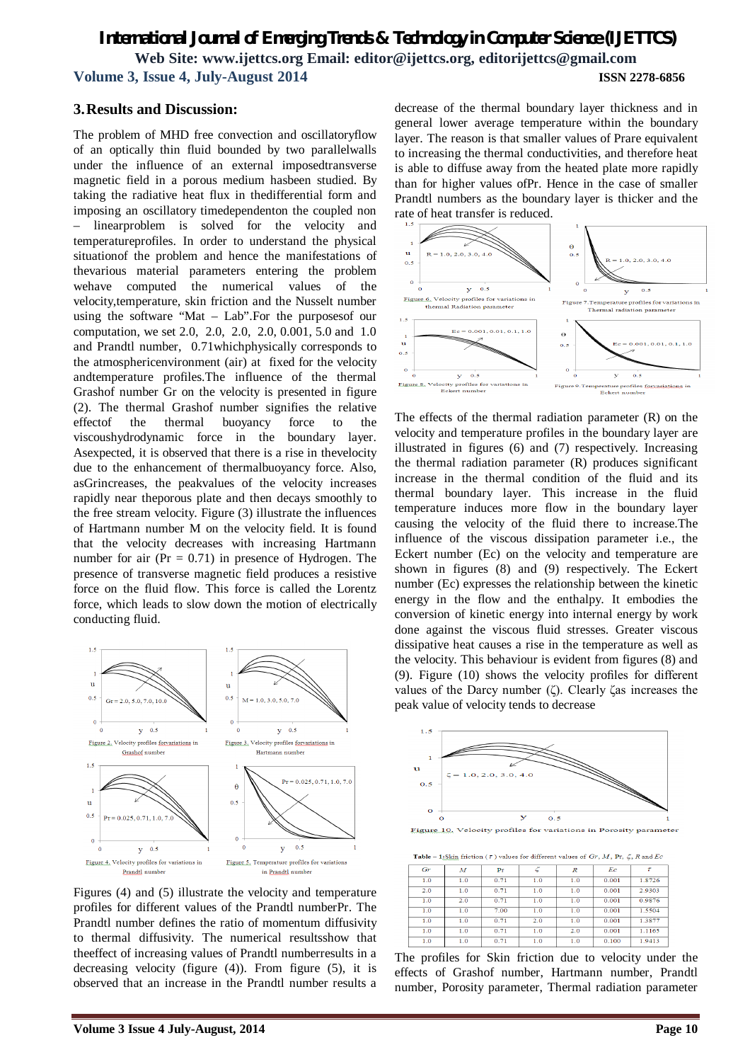## **3.Results and Discussion:**

The problem of MHD free convection and oscillatoryflow of an optically thin fluid bounded by two parallelwalls under the influence of an external imposedtransverse magnetic field in a porous medium hasbeen studied. By taking the radiative heat flux in thedifferential form and imposing an oscillatory timedependenton the coupled non linearproblem is solved for the velocity and temperatureprofiles. In order to understand the physical situationof the problem and hence the manifestations of thevarious material parameters entering the problem wehave computed the numerical values of the velocity,temperature, skin friction and the Nusselt number using the software "Mat – Lab".For the purposesof our computation, we set 2.0, 2.0, 2.0, 2.0, 0.001, 5.0 and 1.0 and Prandtl number, 0.71whichphysically corresponds to the atmosphericenvironment (air) at fixed for the velocity andtemperature profiles.The influence of the thermal Grashof number Gr on the velocity is presented in figure (2). The thermal Grashof number signifies the relative effectof the thermal buoyancy force to the viscoushydrodynamic force in the boundary layer. Asexpected, it is observed that there is a rise in thevelocity due to the enhancement of thermalbuoyancy force. Also, asGrincreases, the peakvalues of the velocity increases rapidly near theporous plate and then decays smoothly to the free stream velocity. Figure (3) illustrate the influences of Hartmann number M on the velocity field. It is found that the velocity decreases with increasing Hartmann number for air ( $Pr = 0.71$ ) in presence of Hydrogen. The presence of transverse magnetic field produces a resistive force on the fluid flow. This force is called the Lorentz force, which leads to slow down the motion of electrically conducting fluid.



Figures (4) and (5) illustrate the velocity and temperature profiles for different values of the Prandtl numberPr. The Prandtl number defines the ratio of momentum diffusivity to thermal diffusivity. The numerical resultsshow that theeffect of increasing values of Prandtl numberresults in a decreasing velocity (figure (4)). From figure (5), it is observed that an increase in the Prandtl number results a

decrease of the thermal boundary layer thickness and in general lower average temperature within the boundary layer. The reason is that smaller values of Prare equivalent to increasing the thermal conductivities, and therefore heat is able to diffuse away from the heated plate more rapidly than for higher values ofPr. Hence in the case of smaller Prandtl numbers as the boundary layer is thicker and the rate of heat transfer is reduced.



The effects of the thermal radiation parameter (R) on the velocity and temperature profiles in the boundary layer are illustrated in figures (6) and (7) respectively. Increasing the thermal radiation parameter (R) produces significant increase in the thermal condition of the fluid and its thermal boundary layer. This increase in the fluid temperature induces more flow in the boundary layer causing the velocity of the fluid there to increase.The influence of the viscous dissipation parameter i.e., the Eckert number (Ec) on the velocity and temperature are shown in figures (8) and (9) respectively. The Eckert number (Ec) expresses the relationship between the kinetic energy in the flow and the enthalpy. It embodies the conversion of kinetic energy into internal energy by work done against the viscous fluid stresses. Greater viscous dissipative heat causes a rise in the temperature as well as the velocity. This behaviour is evident from figures (8) and (9). Figure (10) shows the velocity profiles for different values of the Darcy number (ζ). Clearly ζas increases the peak value of velocity tends to decrease



Figure 10. Velocity profiles for variations in Porosity parameter

| <b>Table – 1:</b> Skin friction ( $\tau$ ) values for different values of $Gr, M$ , Pr, $\zeta$ , R and Ec |     |      |     |                  |       |        |  |  |  |
|------------------------------------------------------------------------------------------------------------|-----|------|-----|------------------|-------|--------|--|--|--|
| Gr                                                                                                         | M   | Pr   |     | $\boldsymbol{R}$ | Ec    |        |  |  |  |
| 1.0                                                                                                        | 1.0 | 0.71 | 1.0 | 1.0              | 0.001 | 1.8726 |  |  |  |
| 2.0                                                                                                        | 1.0 | 0.71 | 1.0 | 1.0              | 0.001 | 2.9303 |  |  |  |
| 1.0                                                                                                        | 2.0 | 0.71 | 1.0 | 1.0              | 0.001 | 0.9876 |  |  |  |
| 1.0                                                                                                        | 1.0 | 7.00 | 1.0 | 1.0              | 0.001 | 1.5504 |  |  |  |
| 1.0                                                                                                        | 1.0 | 0.71 | 2.0 | 1.0              | 0.001 | 1.3877 |  |  |  |
| 1.0                                                                                                        | 1.0 | 0.71 | 1.0 | 2.0              | 0.001 | 1.1165 |  |  |  |
| 1.0                                                                                                        | 1.0 | 0.71 | 1.0 | 1.0              | 0.100 | 1.9413 |  |  |  |

The profiles for Skin friction due to velocity under the effects of Grashof number, Hartmann number, Prandtl number, Porosity parameter, Thermal radiation parameter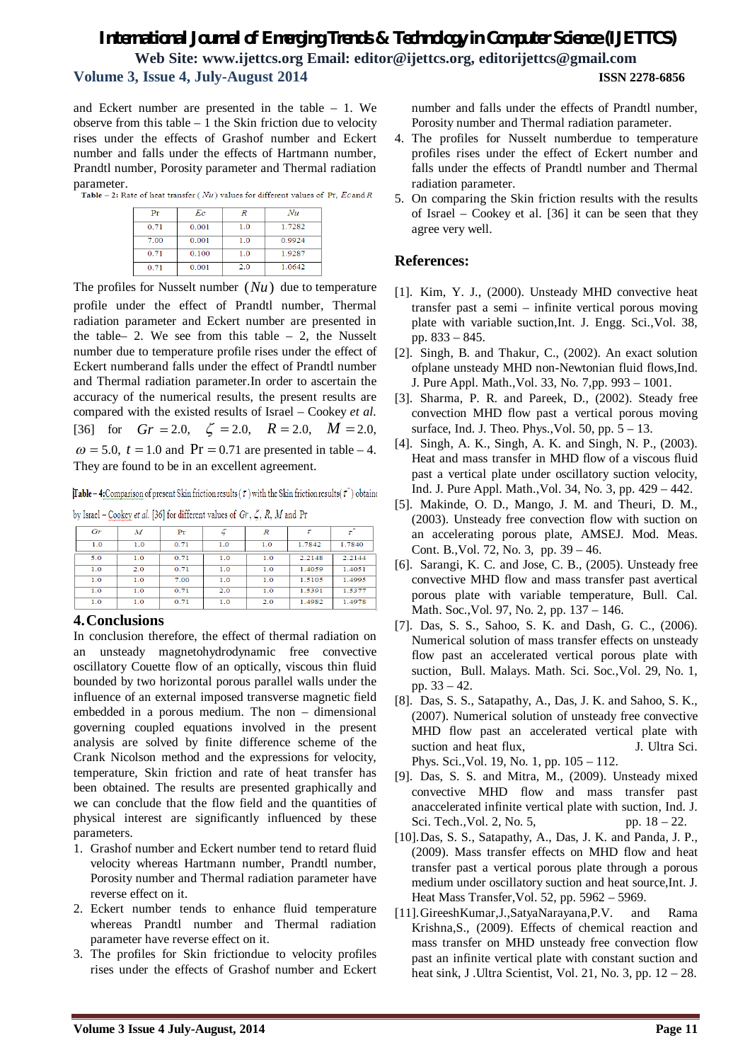and Eckert number are presented in the table – 1. We observe from this table  $-1$  the Skin friction due to velocity rises under the effects of Grashof number and Eckert number and falls under the effects of Hartmann number, Prandtl number, Porosity parameter and Thermal radiation **parameter.**<br>**Table - 2:** Rate of heat transfer (*Nu*) values for different values of Pr, *Ec* and *R* 

| Pr   | Еc    | R   | Nu     |
|------|-------|-----|--------|
| 0.71 | 0.001 | 1.0 | 1.7282 |
| 7.00 | 0.001 | 1.0 | 0.9924 |
| 0.71 | 0.100 | 1.0 | 1.9287 |
| 0.71 | 0.001 | 2.0 | 1.0642 |

The profiles for Nusselt number (*Nu*) due to temperature profile under the effect of Prandtl number, Thermal radiation parameter and Eckert number are presented in the table– 2. We see from this table – 2, the Nusselt number due to temperature profile rises under the effect of Eckert numberand falls under the effect of Prandtl number and Thermal radiation parameter.In order to ascertain the accuracy of the numerical results, the present results are compared with the existed results of Israel – Cookey *et al.*  [36] for  $Gr = 2.0$ ,  $\zeta = 2.0$ ,  $R = 2.0$ ,  $M = 2.0$ ,  $\omega$  = 5.0,  $t = 1.0$  and Pr = 0.71 are presented in table – 4. They are found to be in an excellent agreement.

[Table – 4: Comparison of present Skin friction results ( $\tau$ ) with the Skin friction results ( $\tau$ ) obtaine

by Israel - Cookey et al. [36] for different values of  $Gr, \zeta, R, M$  and Pr

| Gr  | $\boldsymbol{M}$ | Pr   |     | $\boldsymbol{R}$ |        | $\tau^*$ |
|-----|------------------|------|-----|------------------|--------|----------|
| 1.0 | 1.0              | 0.71 | 1.0 | 1.0              | 1.7842 | 1.7840   |
| 5.0 | 1.0              | 0.71 | 1.0 | 1.0              | 2.2148 | 2.2144   |
| 1.0 | 2.0              | 0.71 | 1.0 | 1.0              | 1.4059 | 1.4051   |
| 1.0 | 1.0              | 7.00 | 1.0 | 1.0              | 1.5105 | 1.4995   |
| 1.0 | 1.0              | 0.71 | 2.0 | 1.0              | 1.5391 | 1.5377   |
| 1.0 | 1.0              | 0.71 | 1.0 | 2.0              | 1.4982 | 1.4978   |

### **4.Conclusions**

In conclusion therefore, the effect of thermal radiation on an unsteady magnetohydrodynamic free convective oscillatory Couette flow of an optically, viscous thin fluid bounded by two horizontal porous parallel walls under the influence of an external imposed transverse magnetic field embedded in a porous medium. The non – dimensional governing coupled equations involved in the present analysis are solved by finite difference scheme of the Crank Nicolson method and the expressions for velocity, temperature, Skin friction and rate of heat transfer has been obtained. The results are presented graphically and we can conclude that the flow field and the quantities of physical interest are significantly influenced by these parameters.

- 1. Grashof number and Eckert number tend to retard fluid velocity whereas Hartmann number, Prandtl number, Porosity number and Thermal radiation parameter have reverse effect on it.
- 2. Eckert number tends to enhance fluid temperature whereas Prandtl number and Thermal radiation parameter have reverse effect on it.
- 3. The profiles for Skin frictiondue to velocity profiles rises under the effects of Grashof number and Eckert

number and falls under the effects of Prandtl number, Porosity number and Thermal radiation parameter.

- 4. The profiles for Nusselt numberdue to temperature profiles rises under the effect of Eckert number and falls under the effects of Prandtl number and Thermal radiation parameter.
- 5. On comparing the Skin friction results with the results of Israel – Cookey et al. [36] it can be seen that they agree very well.

#### **References:**

- [1]. Kim, Y. J., (2000). Unsteady MHD convective heat transfer past a semi – infinite vertical porous moving plate with variable suction,Int. J. Engg. Sci.,Vol. 38, pp. 833 – 845.
- [2]. Singh, B. and Thakur, C., (2002). An exact solution ofplane unsteady MHD non-Newtonian fluid flows,Ind. J. Pure Appl. Math.,Vol. 33, No. 7,pp. 993 – 1001.
- [3]. Sharma, P. R. and Pareek, D., (2002). Steady free convection MHD flow past a vertical porous moving surface, Ind. J. Theo. Phys., Vol. 50, pp.  $5 - 13$ .
- [4]. Singh, A. K., Singh, A. K. and Singh, N. P., (2003). Heat and mass transfer in MHD flow of a viscous fluid past a vertical plate under oscillatory suction velocity, Ind. J. Pure Appl. Math.,Vol. 34, No. 3, pp. 429 – 442.
- [5]. Makinde, O. D., Mango, J. M. and Theuri, D. M., (2003). Unsteady free convection flow with suction on an accelerating porous plate, AMSEJ. Mod. Meas. Cont. B.,Vol. 72, No. 3, pp. 39 – 46.
- [6]. Sarangi, K. C. and Jose, C. B., (2005). Unsteady free convective MHD flow and mass transfer past avertical porous plate with variable temperature, Bull. Cal. Math. Soc.,Vol. 97, No. 2, pp. 137 – 146.
- [7]. Das, S. S., Sahoo, S. K. and Dash, G. C., (2006). Numerical solution of mass transfer effects on unsteady flow past an accelerated vertical porous plate with suction, Bull. Malays. Math. Sci. Soc.,Vol. 29, No. 1, pp. 33 – 42.
- [8]. Das, S. S., Satapathy, A., Das, J. K. and Sahoo, S. K., (2007). Numerical solution of unsteady free convective MHD flow past an accelerated vertical plate with suction and heat flux, J. Ultra Sci. Phys. Sci.,Vol. 19, No. 1, pp. 105 – 112.
- [9]. Das, S. S. and Mitra, M., (2009). Unsteady mixed convective MHD flow and mass transfer past anaccelerated infinite vertical plate with suction, Ind. J. Sci. Tech., Vol. 2, No. 5, pp. 18 – 22.
- [10].Das, S. S., Satapathy, A., Das, J. K. and Panda, J. P., (2009). Mass transfer effects on MHD flow and heat transfer past a vertical porous plate through a porous medium under oscillatory suction and heat source,Int. J. Heat Mass Transfer,Vol. 52, pp. 5962 – 5969.
- [11].GireeshKumar,J.,SatyaNarayana,P.V. and Rama Krishna,S., (2009). Effects of chemical reaction and mass transfer on MHD unsteady free convection flow past an infinite vertical plate with constant suction and heat sink, J .Ultra Scientist, Vol. 21, No. 3, pp. 12 – 28.